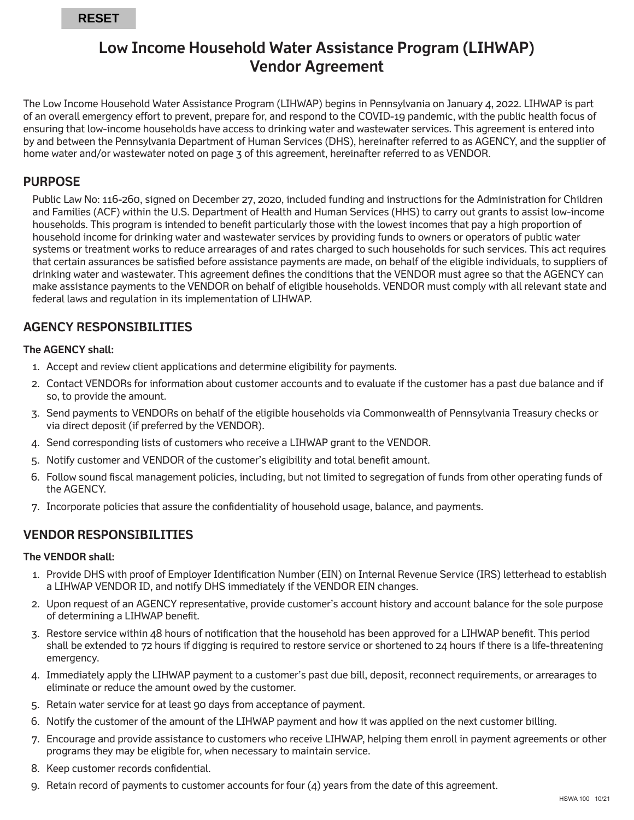# **Low Income Household Water Assistance Program (LIHWAP) Vendor Agreement**

The Low Income Household Water Assistance Program (LIHWAP) begins in Pennsylvania on January 4, 2022. LIHWAP is part of an overall emergency effort to prevent, prepare for, and respond to the COVID-19 pandemic, with the public health focus of ensuring that low-income households have access to drinking water and wastewater services. This agreement is entered into by and between the Pennsylvania Department of Human Services (DHS), hereinafter referred to as AGENCY, and the supplier of home water and/or wastewater noted on page 3 of this agreement, hereinafter referred to as VENDOR.

# **PURPOSE**

Public Law No: 116-260, signed on December 27, 2020, included funding and instructions for the Administration for Children and Families (ACF) within the U.S. Department of Health and Human Services (HHS) to carry out grants to assist low-income households. This program is intended to benefit particularly those with the lowest incomes that pay a high proportion of household income for drinking water and wastewater services by providing funds to owners or operators of public water systems or treatment works to reduce arrearages of and rates charged to such households for such services. This act requires that certain assurances be satisfied before assistance payments are made, on behalf of the eligible individuals, to suppliers of drinking water and wastewater. This agreement defines the conditions that the VENDOR must agree so that the AGENCY can make assistance payments to the VENDOR on behalf of eligible households. VENDOR must comply with all relevant state and federal laws and regulation in its implementation of LIHWAP.

# **AGENCY RESPONSIBILITIES**

## **The AGENCY shall:**

- 1. Accept and review client applications and determine eligibility for payments.
- 2. Contact VENDORs for information about customer accounts and to evaluate if the customer has a past due balance and if so, to provide the amount.
- 3. Send payments to VENDORs on behalf of the eligible households via Commonwealth of Pennsylvania Treasury checks or via direct deposit (if preferred by the VENDOR).
- 4. Send corresponding lists of customers who receive a LIHWAP grant to the VENDOR.
- 5. Notify customer and VENDOR of the customer's eligibility and total benefit amount.
- 6. Follow sound fiscal management policies, including, but not limited to segregation of funds from other operating funds of the AGENCY.
- 7. Incorporate policies that assure the confidentiality of household usage, balance, and payments.

# **VENDOR RESPONSIBILITIES**

## **The VENDOR shall:**

- 1. Provide DHS with proof of Employer Identification Number (EIN) on Internal Revenue Service (IRS) letterhead to establish a LIHWAP VENDOR ID, and notify DHS immediately if the VENDOR EIN changes.
- 2. Upon request of an AGENCY representative, provide customer's account history and account balance for the sole purpose of determining a LIHWAP benefit.
- 3. Restore service within 48 hours of notification that the household has been approved for a LIHWAP benefit. This period shall be extended to 72 hours if digging is required to restore service or shortened to 24 hours if there is a life-threatening emergency.
- 4. Immediately apply the LIHWAP payment to a customer's past due bill, deposit, reconnect requirements, or arrearages to eliminate or reduce the amount owed by the customer.
- 5. Retain water service for at least 90 days from acceptance of payment.
- 6. Notify the customer of the amount of the LIHWAP payment and how it was applied on the next customer billing.
- 7. Encourage and provide assistance to customers who receive LIHWAP, helping them enroll in payment agreements or other programs they may be eligible for, when necessary to maintain service.
- 8. Keep customer records confidential.
- 9. Retain record of payments to customer accounts for four (4) years from the date of this agreement.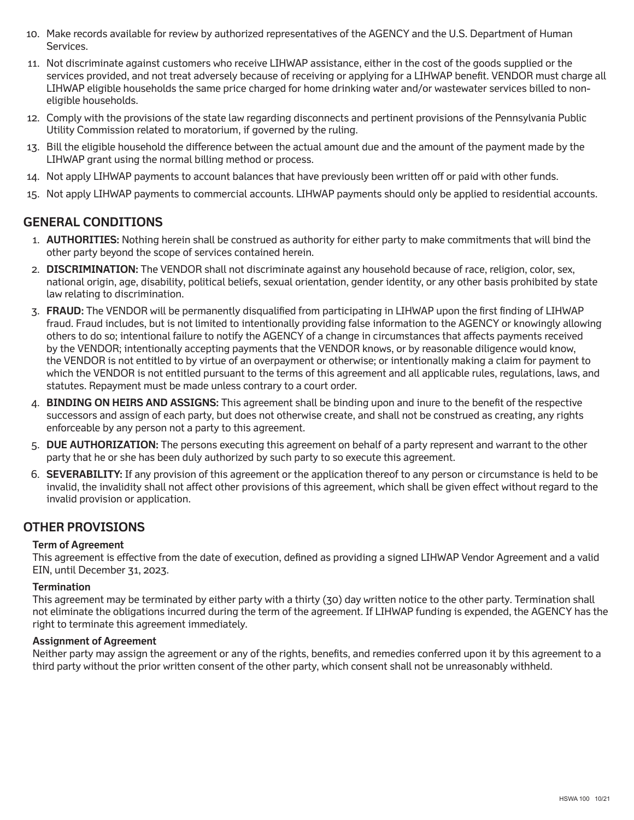- 10. Make records available for review by authorized representatives of the AGENCY and the U.S. Department of Human Services.
- 11. Not discriminate against customers who receive LIHWAP assistance, either in the cost of the goods supplied or the services provided, and not treat adversely because of receiving or applying for a LIHWAP benefit. VENDOR must charge all LIHWAP eligible households the same price charged for home drinking water and/or wastewater services billed to noneligible households.
- 12. Comply with the provisions of the state law regarding disconnects and pertinent provisions of the Pennsylvania Public Utility Commission related to moratorium, if governed by the ruling.
- 13. Bill the eligible household the difference between the actual amount due and the amount of the payment made by the LIHWAP grant using the normal billing method or process.
- 14. Not apply LIHWAP payments to account balances that have previously been written off or paid with other funds.
- 15. Not apply LIHWAP payments to commercial accounts. LIHWAP payments should only be applied to residential accounts.

# **GENERAL CONDITIONS**

- 1. **AUTHORITIES:** Nothing herein shall be construed as authority for either party to make commitments that will bind the other party beyond the scope of services contained herein.
- 2. **DISCRIMINATION:** The VENDOR shall not discriminate against any household because of race, religion, color, sex, national origin, age, disability, political beliefs, sexual orientation, gender identity, or any other basis prohibited by state law relating to discrimination.
- 3. **FRAUD:** The VENDOR will be permanently disqualified from participating in LIHWAP upon the first finding of LIHWAP fraud. Fraud includes, but is not limited to intentionally providing false information to the AGENCY or knowingly allowing others to do so; intentional failure to notify the AGENCY of a change in circumstances that affects payments received by the VENDOR; intentionally accepting payments that the VENDOR knows, or by reasonable diligence would know, the VENDOR is not entitled to by virtue of an overpayment or otherwise; or intentionally making a claim for payment to which the VENDOR is not entitled pursuant to the terms of this agreement and all applicable rules, regulations, laws, and statutes. Repayment must be made unless contrary to a court order.
- 4. **BINDING ON HEIRS AND ASSIGNS:** This agreement shall be binding upon and inure to the benefit of the respective successors and assign of each party, but does not otherwise create, and shall not be construed as creating, any rights enforceable by any person not a party to this agreement.
- 5. **DUE AUTHORIZATION:** The persons executing this agreement on behalf of a party represent and warrant to the other party that he or she has been duly authorized by such party to so execute this agreement.
- 6. **SEVERABILITY:** If any provision of this agreement or the application thereof to any person or circumstance is held to be invalid, the invalidity shall not affect other provisions of this agreement, which shall be given effect without regard to the invalid provision or application.

# **OTHER PROVISIONS**

## **Term of Agreement**

This agreement is effective from the date of execution, defined as providing a signed LIHWAP Vendor Agreement and a valid EIN, until December 31, 2023.

#### **Termination**

This agreement may be terminated by either party with a thirty (30) day written notice to the other party. Termination shall not eliminate the obligations incurred during the term of the agreement. If LIHWAP funding is expended, the AGENCY has the right to terminate this agreement immediately.

#### **Assignment of Agreement**

Neither party may assign the agreement or any of the rights, benefits, and remedies conferred upon it by this agreement to a third party without the prior written consent of the other party, which consent shall not be unreasonably withheld.